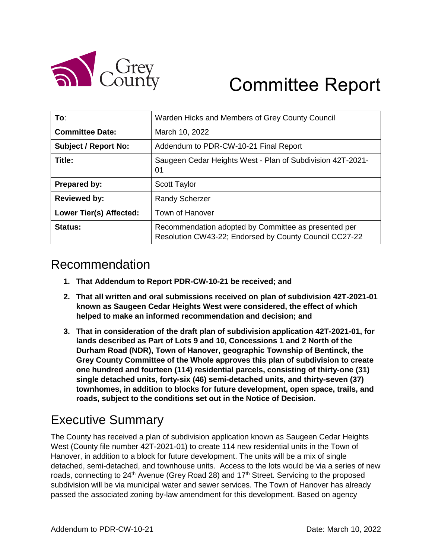

# Committee Report

| To:                            | Warden Hicks and Members of Grey County Council                                                                |  |
|--------------------------------|----------------------------------------------------------------------------------------------------------------|--|
| <b>Committee Date:</b>         | March 10, 2022                                                                                                 |  |
| <b>Subject / Report No:</b>    | Addendum to PDR-CW-10-21 Final Report                                                                          |  |
| Title:                         | Saugeen Cedar Heights West - Plan of Subdivision 42T-2021-<br>01                                               |  |
| <b>Prepared by:</b>            | <b>Scott Taylor</b>                                                                                            |  |
| <b>Reviewed by:</b>            | <b>Randy Scherzer</b>                                                                                          |  |
| <b>Lower Tier(s) Affected:</b> | <b>Town of Hanover</b>                                                                                         |  |
| Status:                        | Recommendation adopted by Committee as presented per<br>Resolution CW43-22; Endorsed by County Council CC27-22 |  |

### Recommendation

- **1. That Addendum to Report PDR-CW-10-21 be received; and**
- **2. That all written and oral submissions received on plan of subdivision 42T-2021-01 known as Saugeen Cedar Heights West were considered, the effect of which helped to make an informed recommendation and decision; and**
- **3. That in consideration of the draft plan of subdivision application 42T-2021-01, for lands described as Part of Lots 9 and 10, Concessions 1 and 2 North of the Durham Road (NDR), Town of Hanover, geographic Township of Bentinck, the Grey County Committee of the Whole approves this plan of subdivision to create one hundred and fourteen (114) residential parcels, consisting of thirty-one (31) single detached units, forty-six (46) semi-detached units, and thirty-seven (37) townhomes, in addition to blocks for future development, open space, trails, and roads, subject to the conditions set out in the Notice of Decision.**

### Executive Summary

The County has received a plan of subdivision application known as Saugeen Cedar Heights West (County file number 42T-2021-01) to create 114 new residential units in the Town of Hanover, in addition to a block for future development. The units will be a mix of single detached, semi-detached, and townhouse units. Access to the lots would be via a series of new roads, connecting to 24<sup>th</sup> Avenue (Grey Road 28) and 17<sup>th</sup> Street. Servicing to the proposed subdivision will be via municipal water and sewer services. The Town of Hanover has already passed the associated zoning by-law amendment for this development. Based on agency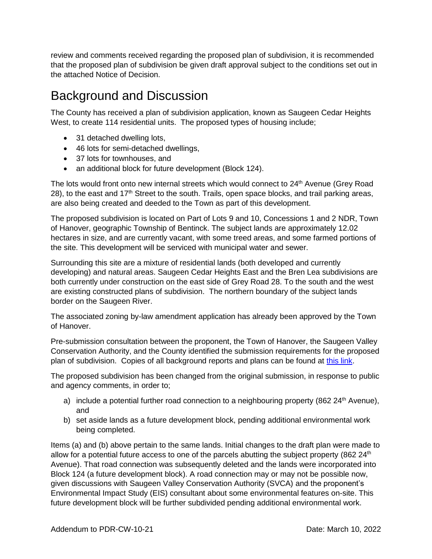review and comments received regarding the proposed plan of subdivision, it is recommended that the proposed plan of subdivision be given draft approval subject to the conditions set out in the attached Notice of Decision.

### Background and Discussion

The County has received a plan of subdivision application, known as Saugeen Cedar Heights West, to create 114 residential units. The proposed types of housing include;

- 31 detached dwelling lots,
- 46 lots for semi-detached dwellings,
- 37 lots for townhouses, and
- an additional block for future development (Block 124).

The lots would front onto new internal streets which would connect to 24<sup>th</sup> Avenue (Grey Road 28), to the east and 17<sup>th</sup> Street to the south. Trails, open space blocks, and trail parking areas, are also being created and deeded to the Town as part of this development.

The proposed subdivision is located on Part of Lots 9 and 10, Concessions 1 and 2 NDR, Town of Hanover, geographic Township of Bentinck. The subject lands are approximately 12.02 hectares in size, and are currently vacant, with some treed areas, and some farmed portions of the site. This development will be serviced with municipal water and sewer.

Surrounding this site are a mixture of residential lands (both developed and currently developing) and natural areas. Saugeen Cedar Heights East and the Bren Lea subdivisions are both currently under construction on the east side of Grey Road 28. To the south and the west are existing constructed plans of subdivision. The northern boundary of the subject lands border on the Saugeen River.

The associated zoning by-law amendment application has already been approved by the Town of Hanover.

Pre-submission consultation between the proponent, the Town of Hanover, the Saugeen Valley Conservation Authority, and the County identified the submission requirements for the proposed plan of subdivision. Copies of all background reports and plans can be found at [this link.](https://www.grey.ca/planning-development/planning-applications)

The proposed subdivision has been changed from the original submission, in response to public and agency comments, in order to;

- a) include a potential further road connection to a neighbouring property (862  $24<sup>th</sup>$  Avenue), and
- b) set aside lands as a future development block, pending additional environmental work being completed.

Items (a) and (b) above pertain to the same lands. Initial changes to the draft plan were made to allow for a potential future access to one of the parcels abutting the subject property (862  $24<sup>th</sup>$ Avenue). That road connection was subsequently deleted and the lands were incorporated into Block 124 (a future development block). A road connection may or may not be possible now, given discussions with Saugeen Valley Conservation Authority (SVCA) and the proponent's Environmental Impact Study (EIS) consultant about some environmental features on-site. This future development block will be further subdivided pending additional environmental work.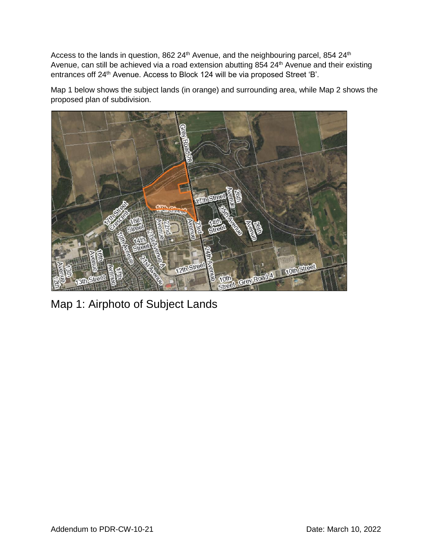Access to the lands in question, 862 24<sup>th</sup> Avenue, and the neighbouring parcel, 854 24<sup>th</sup> Avenue, can still be achieved via a road extension abutting 854 24<sup>th</sup> Avenue and their existing entrances off 24<sup>th</sup> Avenue. Access to Block 124 will be via proposed Street 'B'.

Map 1 below shows the subject lands (in orange) and surrounding area, while Map 2 shows the proposed plan of subdivision.



Map 1: Airphoto of Subject Lands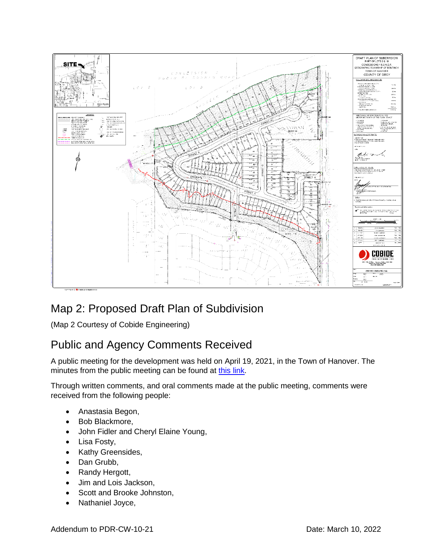

### Map 2: Proposed Draft Plan of Subdivision

(Map 2 Courtesy of Cobide Engineering)

### Public and Agency Comments Received

A public meeting for the development was held on April 19, 2021, in the Town of Hanover. The minutes from the public meeting can be found at [this link.](https://docs.grey.ca/share/public?nodeRef=workspace://SpacesStore/1e55d536-b8d9-4cf4-a667-1d3713662215)

Through written comments, and oral comments made at the public meeting, comments were received from the following people:

- Anastasia Begon,
- Bob Blackmore,
- John Fidler and Cheryl Elaine Young,
- Lisa Fosty,
- Kathy Greensides,
- Dan Grubb,
- Randy Hergott,
- Jim and Lois Jackson,
- Scott and Brooke Johnston,
- Nathaniel Joyce,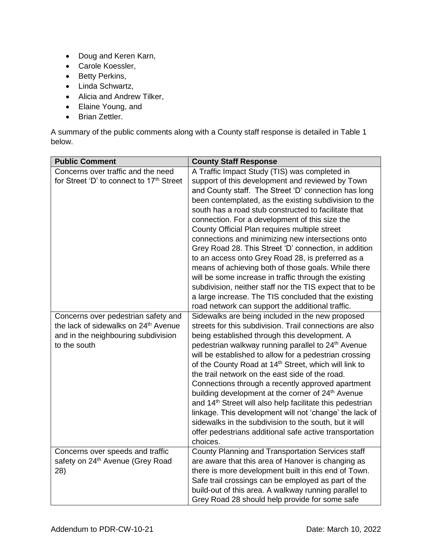- Doug and Keren Karn,
- Carole Koessler,
- Betty Perkins,
- Linda Schwartz,
- Alicia and Andrew Tilker,
- Elaine Young, and
- Brian Zettler.

A summary of the public comments along with a County staff response is detailed in Table 1 below.

| <b>Public Comment</b>                                                                                                                          | <b>County Staff Response</b>                                                                                                                                                                                                                                                                                                                                                                                                                                                                                                                                                                                                                                                                                                                                                                                                              |
|------------------------------------------------------------------------------------------------------------------------------------------------|-------------------------------------------------------------------------------------------------------------------------------------------------------------------------------------------------------------------------------------------------------------------------------------------------------------------------------------------------------------------------------------------------------------------------------------------------------------------------------------------------------------------------------------------------------------------------------------------------------------------------------------------------------------------------------------------------------------------------------------------------------------------------------------------------------------------------------------------|
| Concerns over traffic and the need<br>for Street 'D' to connect to 17th Street                                                                 | A Traffic Impact Study (TIS) was completed in<br>support of this development and reviewed by Town<br>and County staff. The Street 'D' connection has long<br>been contemplated, as the existing subdivision to the<br>south has a road stub constructed to facilitate that<br>connection. For a development of this size the<br>County Official Plan requires multiple street<br>connections and minimizing new intersections onto<br>Grey Road 28. This Street 'D' connection, in addition<br>to an access onto Grey Road 28, is preferred as a<br>means of achieving both of those goals. While there<br>will be some increase in traffic through the existing<br>subdivision, neither staff nor the TIS expect that to be<br>a large increase. The TIS concluded that the existing<br>road network can support the additional traffic. |
| Concerns over pedestrian safety and<br>the lack of sidewalks on 24 <sup>th</sup> Avenue<br>and in the neighbouring subdivision<br>to the south | Sidewalks are being included in the new proposed<br>streets for this subdivision. Trail connections are also<br>being established through this development. A<br>pedestrian walkway running parallel to 24 <sup>th</sup> Avenue<br>will be established to allow for a pedestrian crossing<br>of the County Road at 14 <sup>th</sup> Street, which will link to<br>the trail network on the east side of the road.<br>Connections through a recently approved apartment<br>building development at the corner of 24 <sup>th</sup> Avenue<br>and 14 <sup>th</sup> Street will also help facilitate this pedestrian<br>linkage. This development will not 'change' the lack of<br>sidewalks in the subdivision to the south, but it will<br>offer pedestrians additional safe active transportation<br>choices.                              |
| Concerns over speeds and traffic<br>safety on 24 <sup>th</sup> Avenue (Grey Road<br>28)                                                        | County Planning and Transportation Services staff<br>are aware that this area of Hanover is changing as<br>there is more development built in this end of Town.<br>Safe trail crossings can be employed as part of the<br>build-out of this area. A walkway running parallel to<br>Grey Road 28 should help provide for some safe                                                                                                                                                                                                                                                                                                                                                                                                                                                                                                         |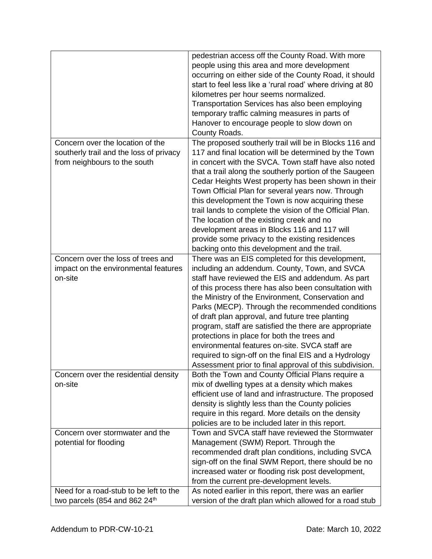|                                         | pedestrian access off the County Road. With more           |
|-----------------------------------------|------------------------------------------------------------|
|                                         | people using this area and more development                |
|                                         | occurring on either side of the County Road, it should     |
|                                         | start to feel less like a 'rural road' where driving at 80 |
|                                         | kilometres per hour seems normalized.                      |
|                                         | Transportation Services has also been employing            |
|                                         | temporary traffic calming measures in parts of             |
|                                         | Hanover to encourage people to slow down on                |
|                                         | County Roads.                                              |
| Concern over the location of the        | The proposed southerly trail will be in Blocks 116 and     |
|                                         |                                                            |
| southerly trail and the loss of privacy | 117 and final location will be determined by the Town      |
| from neighbours to the south            | in concert with the SVCA. Town staff have also noted       |
|                                         | that a trail along the southerly portion of the Saugeen    |
|                                         | Cedar Heights West property has been shown in their        |
|                                         | Town Official Plan for several years now. Through          |
|                                         | this development the Town is now acquiring these           |
|                                         | trail lands to complete the vision of the Official Plan.   |
|                                         | The location of the existing creek and no                  |
|                                         | development areas in Blocks 116 and 117 will               |
|                                         | provide some privacy to the existing residences            |
|                                         | backing onto this development and the trail.               |
| Concern over the loss of trees and      | There was an EIS completed for this development,           |
| impact on the environmental features    | including an addendum. County, Town, and SVCA              |
| on-site                                 | staff have reviewed the EIS and addendum. As part          |
|                                         | of this process there has also been consultation with      |
|                                         | the Ministry of the Environment, Conservation and          |
|                                         | Parks (MECP). Through the recommended conditions           |
|                                         | of draft plan approval, and future tree planting           |
|                                         | program, staff are satisfied the there are appropriate     |
|                                         | protections in place for both the trees and                |
|                                         | environmental features on-site. SVCA staff are             |
|                                         | required to sign-off on the final EIS and a Hydrology      |
|                                         | Assessment prior to final approval of this subdivision.    |
| Concern over the residential density    | Both the Town and County Official Plans require a          |
| on-site                                 | mix of dwelling types at a density which makes             |
|                                         | efficient use of land and infrastructure. The proposed     |
|                                         | density is slightly less than the County policies          |
|                                         | require in this regard. More details on the density        |
|                                         | policies are to be included later in this report.          |
| Concern over stormwater and the         | Town and SVCA staff have reviewed the Stormwater           |
|                                         |                                                            |
| potential for flooding                  | Management (SWM) Report. Through the                       |
|                                         | recommended draft plan conditions, including SVCA          |
|                                         | sign-off on the final SWM Report, there should be no       |
|                                         | increased water or flooding risk post development,         |
|                                         | from the current pre-development levels.                   |
| Need for a road-stub to be left to the  | As noted earlier in this report, there was an earlier      |
| two parcels (854 and 862 24th           | version of the draft plan which allowed for a road stub    |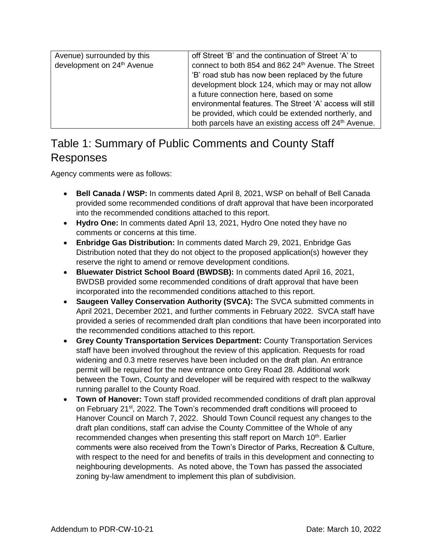### Table 1: Summary of Public Comments and County Staff Responses

Agency comments were as follows:

- **Bell Canada / WSP:** In comments dated April 8, 2021, WSP on behalf of Bell Canada provided some recommended conditions of draft approval that have been incorporated into the recommended conditions attached to this report.
- **Hydro One:** In comments dated April 13, 2021, Hydro One noted they have no comments or concerns at this time.
- **Enbridge Gas Distribution:** In comments dated March 29, 2021, Enbridge Gas Distribution noted that they do not object to the proposed application(s) however they reserve the right to amend or remove development conditions.
- **Bluewater District School Board (BWDSB):** In comments dated April 16, 2021, BWDSB provided some recommended conditions of draft approval that have been incorporated into the recommended conditions attached to this report.
- **Saugeen Valley Conservation Authority (SVCA):** The SVCA submitted comments in April 2021, December 2021, and further comments in February 2022. SVCA staff have provided a series of recommended draft plan conditions that have been incorporated into the recommended conditions attached to this report.
- **Grey County Transportation Services Department:** County Transportation Services staff have been involved throughout the review of this application. Requests for road widening and 0.3 metre reserves have been included on the draft plan. An entrance permit will be required for the new entrance onto Grey Road 28. Additional work between the Town, County and developer will be required with respect to the walkway running parallel to the County Road.
- **Town of Hanover:** Town staff provided recommended conditions of draft plan approval on February 21<sup>st</sup>, 2022. The Town's recommended draft conditions will proceed to Hanover Council on March 7, 2022. Should Town Council request any changes to the draft plan conditions, staff can advise the County Committee of the Whole of any recommended changes when presenting this staff report on March 10<sup>th</sup>. Earlier comments were also received from the Town's Director of Parks, Recreation & Culture, with respect to the need for and benefits of trails in this development and connecting to neighbouring developments. As noted above, the Town has passed the associated zoning by-law amendment to implement this plan of subdivision.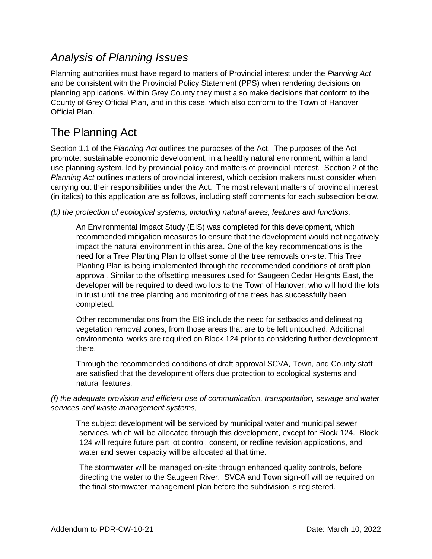### *Analysis of Planning Issues*

Planning authorities must have regard to matters of Provincial interest under the *Planning Act* and be consistent with the Provincial Policy Statement (PPS) when rendering decisions on planning applications. Within Grey County they must also make decisions that conform to the County of Grey Official Plan, and in this case, which also conform to the Town of Hanover Official Plan.

### The Planning Act

Section 1.1 of the *Planning Act* outlines the purposes of the Act. The purposes of the Act promote; sustainable economic development, in a healthy natural environment, within a land use planning system, led by provincial policy and matters of provincial interest. Section 2 of the *Planning Act* outlines matters of provincial interest, which decision makers must consider when carrying out their responsibilities under the Act. The most relevant matters of provincial interest (in italics) to this application are as follows, including staff comments for each subsection below.

*(b) the protection of ecological systems, including natural areas, features and functions,*

An Environmental Impact Study (EIS) was completed for this development, which recommended mitigation measures to ensure that the development would not negatively impact the natural environment in this area. One of the key recommendations is the need for a Tree Planting Plan to offset some of the tree removals on-site. This Tree Planting Plan is being implemented through the recommended conditions of draft plan approval. Similar to the offsetting measures used for Saugeen Cedar Heights East, the developer will be required to deed two lots to the Town of Hanover, who will hold the lots in trust until the tree planting and monitoring of the trees has successfully been completed.

Other recommendations from the EIS include the need for setbacks and delineating vegetation removal zones, from those areas that are to be left untouched. Additional environmental works are required on Block 124 prior to considering further development there.

Through the recommended conditions of draft approval SCVA, Town, and County staff are satisfied that the development offers due protection to ecological systems and natural features.

#### *(f) the adequate provision and efficient use of communication, transportation, sewage and water services and waste management systems,*

The subject development will be serviced by municipal water and municipal sewer services, which will be allocated through this development, except for Block 124. Block 124 will require future part lot control, consent, or redline revision applications, and water and sewer capacity will be allocated at that time.

The stormwater will be managed on-site through enhanced quality controls, before directing the water to the Saugeen River. SVCA and Town sign-off will be required on the final stormwater management plan before the subdivision is registered.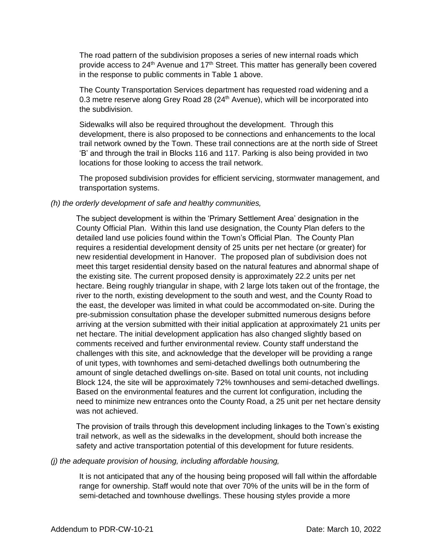The road pattern of the subdivision proposes a series of new internal roads which provide access to  $24<sup>th</sup>$  Avenue and  $17<sup>th</sup>$  Street. This matter has generally been covered in the response to public comments in Table 1 above.

The County Transportation Services department has requested road widening and a 0.3 metre reserve along Grey Road 28 (24<sup>th</sup> Avenue), which will be incorporated into the subdivision.

Sidewalks will also be required throughout the development. Through this development, there is also proposed to be connections and enhancements to the local trail network owned by the Town. These trail connections are at the north side of Street 'B' and through the trail in Blocks 116 and 117. Parking is also being provided in two locations for those looking to access the trail network.

The proposed subdivision provides for efficient servicing, stormwater management, and transportation systems.

#### *(h) the orderly development of safe and healthy communities,*

The subject development is within the 'Primary Settlement Area' designation in the County Official Plan. Within this land use designation, the County Plan defers to the detailed land use policies found within the Town's Official Plan. The County Plan requires a residential development density of 25 units per net hectare (or greater) for new residential development in Hanover. The proposed plan of subdivision does not meet this target residential density based on the natural features and abnormal shape of the existing site. The current proposed density is approximately 22.2 units per net hectare. Being roughly triangular in shape, with 2 large lots taken out of the frontage, the river to the north, existing development to the south and west, and the County Road to the east, the developer was limited in what could be accommodated on-site. During the pre-submission consultation phase the developer submitted numerous designs before arriving at the version submitted with their initial application at approximately 21 units per net hectare. The initial development application has also changed slightly based on comments received and further environmental review. County staff understand the challenges with this site, and acknowledge that the developer will be providing a range of unit types, with townhomes and semi-detached dwellings both outnumbering the amount of single detached dwellings on-site. Based on total unit counts, not including Block 124, the site will be approximately 72% townhouses and semi-detached dwellings. Based on the environmental features and the current lot configuration, including the need to minimize new entrances onto the County Road, a 25 unit per net hectare density was not achieved.

The provision of trails through this development including linkages to the Town's existing trail network, as well as the sidewalks in the development, should both increase the safety and active transportation potential of this development for future residents.

#### *(j) the adequate provision of housing, including affordable housing,*

It is not anticipated that any of the housing being proposed will fall within the affordable range for ownership. Staff would note that over 70% of the units will be in the form of semi-detached and townhouse dwellings. These housing styles provide a more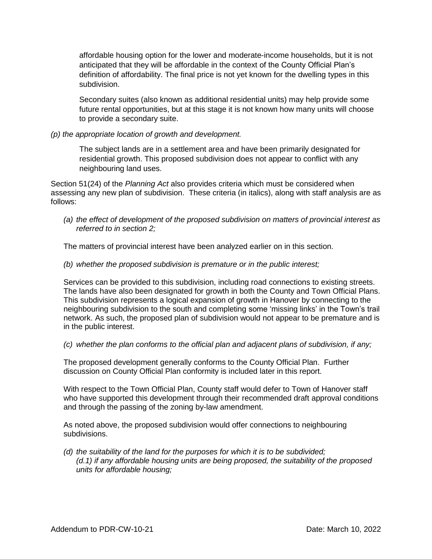affordable housing option for the lower and moderate-income households, but it is not anticipated that they will be affordable in the context of the County Official Plan's definition of affordability. The final price is not yet known for the dwelling types in this subdivision.

Secondary suites (also known as additional residential units) may help provide some future rental opportunities, but at this stage it is not known how many units will choose to provide a secondary suite.

#### *(p) the appropriate location of growth and development.*

The subject lands are in a settlement area and have been primarily designated for residential growth. This proposed subdivision does not appear to conflict with any neighbouring land uses.

Section 51(24) of the *Planning Act* also provides criteria which must be considered when assessing any new plan of subdivision. These criteria (in italics), along with staff analysis are as follows:

*(a) the effect of development of the proposed subdivision on matters of provincial interest as referred to in section 2;*

The matters of provincial interest have been analyzed earlier on in this section.

*(b) whether the proposed subdivision is premature or in the public interest;*

Services can be provided to this subdivision, including road connections to existing streets. The lands have also been designated for growth in both the County and Town Official Plans. This subdivision represents a logical expansion of growth in Hanover by connecting to the neighbouring subdivision to the south and completing some 'missing links' in the Town's trail network. As such, the proposed plan of subdivision would not appear to be premature and is in the public interest.

*(c) whether the plan conforms to the official plan and adjacent plans of subdivision, if any;*

The proposed development generally conforms to the County Official Plan. Further discussion on County Official Plan conformity is included later in this report.

With respect to the Town Official Plan, County staff would defer to Town of Hanover staff who have supported this development through their recommended draft approval conditions and through the passing of the zoning by-law amendment.

As noted above, the proposed subdivision would offer connections to neighbouring subdivisions.

*(d) the suitability of the land for the purposes for which it is to be subdivided; (d.1) if any affordable housing units are being proposed, the suitability of the proposed units for affordable housing;*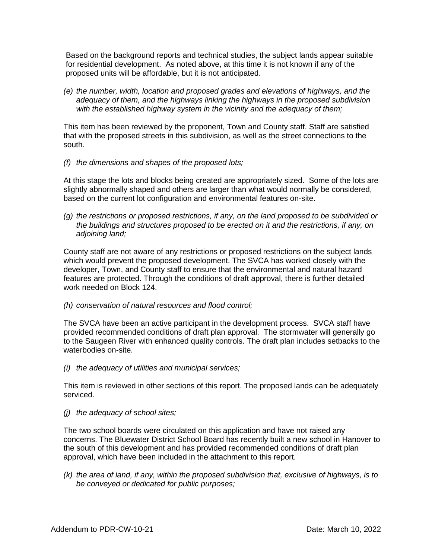Based on the background reports and technical studies, the subject lands appear suitable for residential development. As noted above, at this time it is not known if any of the proposed units will be affordable, but it is not anticipated.

*(e) the number, width, location and proposed grades and elevations of highways, and the adequacy of them, and the highways linking the highways in the proposed subdivision with the established highway system in the vicinity and the adequacy of them;*

This item has been reviewed by the proponent, Town and County staff. Staff are satisfied that with the proposed streets in this subdivision, as well as the street connections to the south.

*(f) the dimensions and shapes of the proposed lots;*

At this stage the lots and blocks being created are appropriately sized. Some of the lots are slightly abnormally shaped and others are larger than what would normally be considered, based on the current lot configuration and environmental features on-site.

*(g) the restrictions or proposed restrictions, if any, on the land proposed to be subdivided or the buildings and structures proposed to be erected on it and the restrictions, if any, on adjoining land;*

County staff are not aware of any restrictions or proposed restrictions on the subject lands which would prevent the proposed development. The SVCA has worked closely with the developer, Town, and County staff to ensure that the environmental and natural hazard features are protected. Through the conditions of draft approval, there is further detailed work needed on Block 124.

*(h) conservation of natural resources and flood control;*

The SVCA have been an active participant in the development process. SVCA staff have provided recommended conditions of draft plan approval. The stormwater will generally go to the Saugeen River with enhanced quality controls. The draft plan includes setbacks to the waterbodies on-site.

*(i) the adequacy of utilities and municipal services;*

This item is reviewed in other sections of this report. The proposed lands can be adequately serviced.

*(j) the adequacy of school sites;*

The two school boards were circulated on this application and have not raised any concerns. The Bluewater District School Board has recently built a new school in Hanover to the south of this development and has provided recommended conditions of draft plan approval, which have been included in the attachment to this report.

*(k) the area of land, if any, within the proposed subdivision that, exclusive of highways, is to be conveyed or dedicated for public purposes;*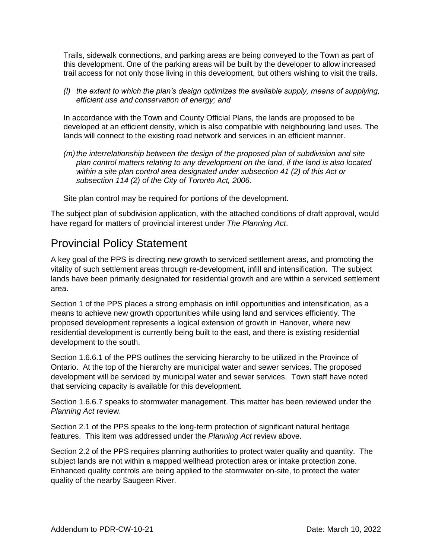Trails, sidewalk connections, and parking areas are being conveyed to the Town as part of this development. One of the parking areas will be built by the developer to allow increased trail access for not only those living in this development, but others wishing to visit the trails.

*(l) the extent to which the plan's design optimizes the available supply, means of supplying, efficient use and conservation of energy; and*

In accordance with the Town and County Official Plans, the lands are proposed to be developed at an efficient density, which is also compatible with neighbouring land uses. The lands will connect to the existing road network and services in an efficient manner.

*(m)the interrelationship between the design of the proposed plan of subdivision and site plan control matters relating to any development on the land, if the land is also located within a site plan control area designated under subsection 41 (2) of this Act or subsection 114 (2) of the City of Toronto Act, 2006.*

Site plan control may be required for portions of the development.

The subject plan of subdivision application, with the attached conditions of draft approval, would have regard for matters of provincial interest under *The Planning Act*.

#### Provincial Policy Statement

A key goal of the PPS is directing new growth to serviced settlement areas, and promoting the vitality of such settlement areas through re-development, infill and intensification. The subject lands have been primarily designated for residential growth and are within a serviced settlement area.

Section 1 of the PPS places a strong emphasis on infill opportunities and intensification, as a means to achieve new growth opportunities while using land and services efficiently. The proposed development represents a logical extension of growth in Hanover, where new residential development is currently being built to the east, and there is existing residential development to the south.

Section 1.6.6.1 of the PPS outlines the servicing hierarchy to be utilized in the Province of Ontario. At the top of the hierarchy are municipal water and sewer services. The proposed development will be serviced by municipal water and sewer services. Town staff have noted that servicing capacity is available for this development.

Section 1.6.6.7 speaks to stormwater management. This matter has been reviewed under the *Planning Act* review.

Section 2.1 of the PPS speaks to the long-term protection of significant natural heritage features. This item was addressed under the *Planning Act* review above.

Section 2.2 of the PPS requires planning authorities to protect water quality and quantity. The subject lands are not within a mapped wellhead protection area or intake protection zone. Enhanced quality controls are being applied to the stormwater on-site, to protect the water quality of the nearby Saugeen River.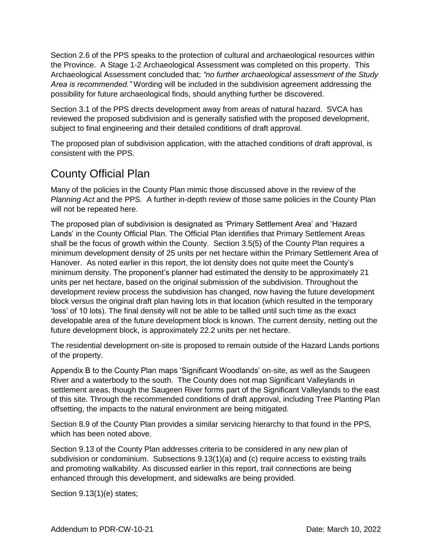Section 2.6 of the PPS speaks to the protection of cultural and archaeological resources within the Province. A Stage 1-2 Archaeological Assessment was completed on this property. This Archaeological Assessment concluded that; *"no further archaeological assessment of the Study Area is recommended."* Wording will be included in the subdivision agreement addressing the possibility for future archaeological finds, should anything further be discovered.

Section 3.1 of the PPS directs development away from areas of natural hazard. SVCA has reviewed the proposed subdivision and is generally satisfied with the proposed development, subject to final engineering and their detailed conditions of draft approval.

The proposed plan of subdivision application, with the attached conditions of draft approval, is consistent with the PPS.

### County Official Plan

Many of the policies in the County Plan mimic those discussed above in the review of the *Planning Act* and the PPS. A further in-depth review of those same policies in the County Plan will not be repeated here.

The proposed plan of subdivision is designated as 'Primary Settlement Area' and 'Hazard Lands' in the County Official Plan. The Official Plan identifies that Primary Settlement Areas shall be the focus of growth within the County. Section 3.5(5) of the County Plan requires a minimum development density of 25 units per net hectare within the Primary Settlement Area of Hanover. As noted earlier in this report, the lot density does not quite meet the County's minimum density. The proponent's planner had estimated the density to be approximately 21 units per net hectare, based on the original submission of the subdivision. Throughout the development review process the subdivision has changed, now having the future development block versus the original draft plan having lots in that location (which resulted in the temporary 'loss' of 10 lots). The final density will not be able to be tallied until such time as the exact developable area of the future development block is known. The current density, netting out the future development block, is approximately 22.2 units per net hectare.

The residential development on-site is proposed to remain outside of the Hazard Lands portions of the property.

Appendix B to the County Plan maps 'Significant Woodlands' on-site, as well as the Saugeen River and a waterbody to the south. The County does not map Significant Valleylands in settlement areas, though the Saugeen River forms part of the Significant Valleylands to the east of this site. Through the recommended conditions of draft approval, including Tree Planting Plan offsetting, the impacts to the natural environment are being mitigated.

Section 8.9 of the County Plan provides a similar servicing hierarchy to that found in the PPS, which has been noted above.

Section 9.13 of the County Plan addresses criteria to be considered in any new plan of subdivision or condominium. Subsections 9.13(1)(a) and (c) require access to existing trails and promoting walkability. As discussed earlier in this report, trail connections are being enhanced through this development, and sidewalks are being provided.

Section 9.13(1)(e) states;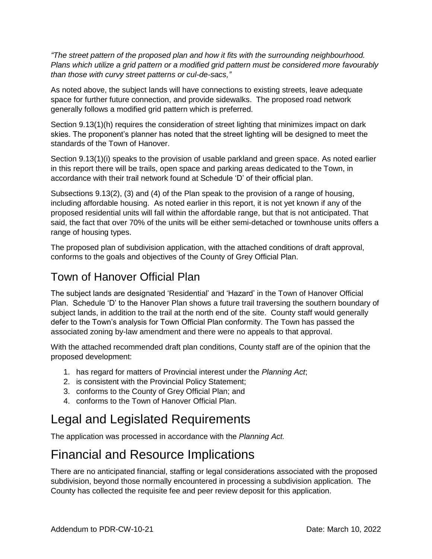*"The street pattern of the proposed plan and how it fits with the surrounding neighbourhood. Plans which utilize a grid pattern or a modified grid pattern must be considered more favourably than those with curvy street patterns or cul-de-sacs,"* 

As noted above, the subject lands will have connections to existing streets, leave adequate space for further future connection, and provide sidewalks. The proposed road network generally follows a modified grid pattern which is preferred.

Section 9.13(1)(h) requires the consideration of street lighting that minimizes impact on dark skies. The proponent's planner has noted that the street lighting will be designed to meet the standards of the Town of Hanover.

Section 9.13(1)(i) speaks to the provision of usable parkland and green space. As noted earlier in this report there will be trails, open space and parking areas dedicated to the Town, in accordance with their trail network found at Schedule 'D' of their official plan.

Subsections 9.13(2), (3) and (4) of the Plan speak to the provision of a range of housing, including affordable housing. As noted earlier in this report, it is not yet known if any of the proposed residential units will fall within the affordable range, but that is not anticipated. That said, the fact that over 70% of the units will be either semi-detached or townhouse units offers a range of housing types.

The proposed plan of subdivision application, with the attached conditions of draft approval, conforms to the goals and objectives of the County of Grey Official Plan.

### Town of Hanover Official Plan

The subject lands are designated 'Residential' and 'Hazard' in the Town of Hanover Official Plan. Schedule 'D' to the Hanover Plan shows a future trail traversing the southern boundary of subject lands, in addition to the trail at the north end of the site. County staff would generally defer to the Town's analysis for Town Official Plan conformity. The Town has passed the associated zoning by-law amendment and there were no appeals to that approval.

With the attached recommended draft plan conditions, County staff are of the opinion that the proposed development:

- 1. has regard for matters of Provincial interest under the *Planning Act*;
- 2. is consistent with the Provincial Policy Statement;
- 3. conforms to the County of Grey Official Plan; and
- 4. conforms to the Town of Hanover Official Plan.

### Legal and Legislated Requirements

The application was processed in accordance with the *Planning Act.*

### Financial and Resource Implications

There are no anticipated financial, staffing or legal considerations associated with the proposed subdivision, beyond those normally encountered in processing a subdivision application. The County has collected the requisite fee and peer review deposit for this application.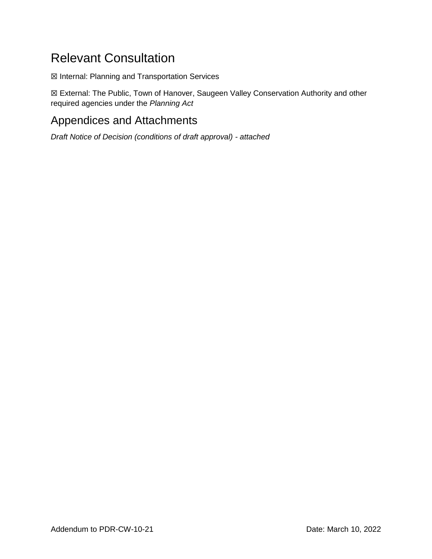### Relevant Consultation

☒ Internal: Planning and Transportation Services

☒ External: The Public, Town of Hanover, Saugeen Valley Conservation Authority and other required agencies under the *Planning Act*

### Appendices and Attachments

*Draft Notice of Decision (conditions of draft approval) - attached*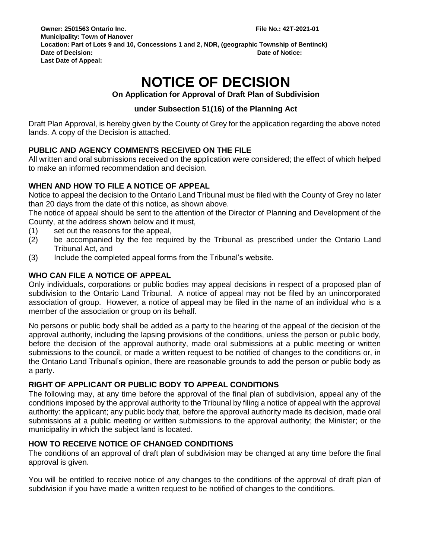## **NOTICE OF DECISION**

#### **On Application for Approval of Draft Plan of Subdivision**

#### **under Subsection 51(16) of the Planning Act**

Draft Plan Approval, is hereby given by the County of Grey for the application regarding the above noted lands. A copy of the Decision is attached.

#### **PUBLIC AND AGENCY COMMENTS RECEIVED ON THE FILE**

All written and oral submissions received on the application were considered; the effect of which helped to make an informed recommendation and decision.

#### **WHEN AND HOW TO FILE A NOTICE OF APPEAL**

Notice to appeal the decision to the Ontario Land Tribunal must be filed with the County of Grey no later than 20 days from the date of this notice, as shown above.

The notice of appeal should be sent to the attention of the Director of Planning and Development of the County, at the address shown below and it must,

- (1) set out the reasons for the appeal,
- (2) be accompanied by the fee required by the Tribunal as prescribed under the Ontario Land Tribunal Act, and
- (3) Include the completed appeal forms from the Tribunal's website.

#### **WHO CAN FILE A NOTICE OF APPEAL**

Only individuals, corporations or public bodies may appeal decisions in respect of a proposed plan of subdivision to the Ontario Land Tribunal. A notice of appeal may not be filed by an unincorporated association of group. However, a notice of appeal may be filed in the name of an individual who is a member of the association or group on its behalf.

No persons or public body shall be added as a party to the hearing of the appeal of the decision of the approval authority, including the lapsing provisions of the conditions, unless the person or public body, before the decision of the approval authority, made oral submissions at a public meeting or written submissions to the council, or made a written request to be notified of changes to the conditions or, in the Ontario Land Tribunal's opinion, there are reasonable grounds to add the person or public body as a party.

#### **RIGHT OF APPLICANT OR PUBLIC BODY TO APPEAL CONDITIONS**

The following may, at any time before the approval of the final plan of subdivision, appeal any of the conditions imposed by the approval authority to the Tribunal by filing a notice of appeal with the approval authority: the applicant; any public body that, before the approval authority made its decision, made oral submissions at a public meeting or written submissions to the approval authority; the Minister; or the municipality in which the subject land is located.

#### **HOW TO RECEIVE NOTICE OF CHANGED CONDITIONS**

The conditions of an approval of draft plan of subdivision may be changed at any time before the final approval is given.

You will be entitled to receive notice of any changes to the conditions of the approval of draft plan of subdivision if you have made a written request to be notified of changes to the conditions.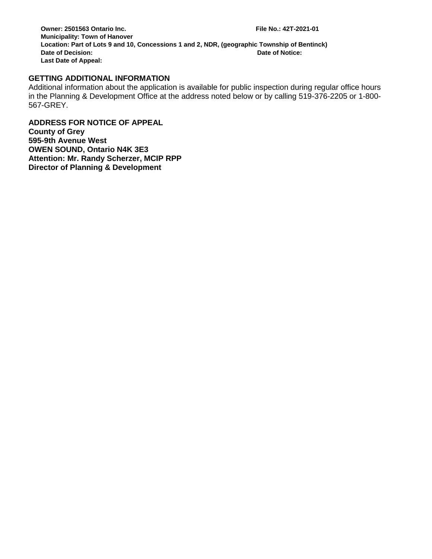#### **GETTING ADDITIONAL INFORMATION**

Additional information about the application is available for public inspection during regular office hours in the Planning & Development Office at the address noted below or by calling 519-376-2205 or 1-800- 567-GREY.

**ADDRESS FOR NOTICE OF APPEAL County of Grey 595-9th Avenue West OWEN SOUND, Ontario N4K 3E3 Attention: Mr. Randy Scherzer, MCIP RPP Director of Planning & Development**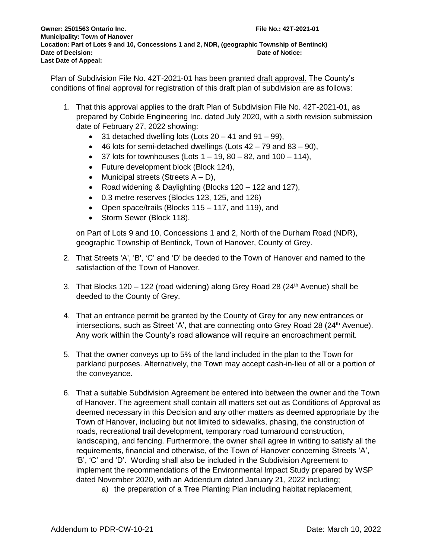Plan of Subdivision File No. 42T-2021-01 has been granted draft approval. The County's conditions of final approval for registration of this draft plan of subdivision are as follows:

- 1. That this approval applies to the draft Plan of Subdivision File No. 42T-2021-01, as prepared by Cobide Engineering Inc. dated July 2020, with a sixth revision submission date of February 27, 2022 showing:
	- $\bullet$  31 detached dwelling lots (Lots 20 41 and 91 99),
	- $\bullet$  46 lots for semi-detached dwellings (Lots  $42 79$  and  $83 90$ ),
	- $\bullet$  37 lots for townhouses (Lots 1 19, 80 82, and 100 114),
	- Future development block (Block 124),
	- Municipal streets (Streets  $A D$ ),
	- Road widening & Daylighting (Blocks 120 122 and 127),
	- 0.3 metre reserves (Blocks 123, 125, and 126)
	- Open space/trails (Blocks 115 117, and 119), and
	- Storm Sewer (Block 118).

on Part of Lots 9 and 10, Concessions 1 and 2, North of the Durham Road (NDR), geographic Township of Bentinck, Town of Hanover, County of Grey.

- 2. That Streets 'A', 'B', 'C' and 'D' be deeded to the Town of Hanover and named to the satisfaction of the Town of Hanover.
- 3. That Blocks 120 122 (road widening) along Grey Road 28 (24<sup>th</sup> Avenue) shall be deeded to the County of Grey.
- 4. That an entrance permit be granted by the County of Grey for any new entrances or intersections, such as Street 'A', that are connecting onto Grey Road 28 ( $24<sup>th</sup>$  Avenue). Any work within the County's road allowance will require an encroachment permit.
- 5. That the owner conveys up to 5% of the land included in the plan to the Town for parkland purposes. Alternatively, the Town may accept cash-in-lieu of all or a portion of the conveyance.
- 6. That a suitable Subdivision Agreement be entered into between the owner and the Town of Hanover. The agreement shall contain all matters set out as Conditions of Approval as deemed necessary in this Decision and any other matters as deemed appropriate by the Town of Hanover, including but not limited to sidewalks, phasing, the construction of roads, recreational trail development, temporary road turnaround construction, landscaping, and fencing. Furthermore, the owner shall agree in writing to satisfy all the requirements, financial and otherwise, of the Town of Hanover concerning Streets 'A', 'B', 'C' and 'D'. Wording shall also be included in the Subdivision Agreement to implement the recommendations of the Environmental Impact Study prepared by WSP dated November 2020, with an Addendum dated January 21, 2022 including;
	- a) the preparation of a Tree Planting Plan including habitat replacement,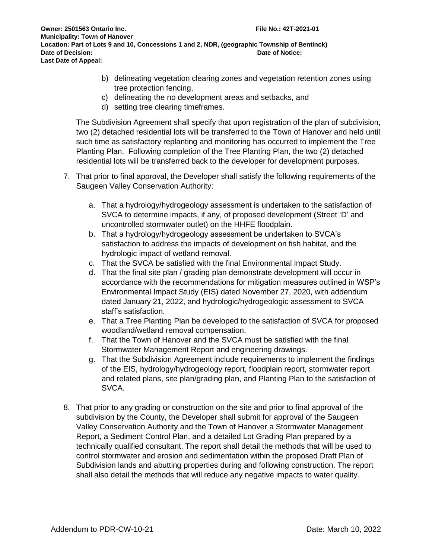- b) delineating vegetation clearing zones and vegetation retention zones using tree protection fencing,
- c) delineating the no development areas and setbacks, and
- d) setting tree clearing timeframes.

The Subdivision Agreement shall specify that upon registration of the plan of subdivision, two (2) detached residential lots will be transferred to the Town of Hanover and held until such time as satisfactory replanting and monitoring has occurred to implement the Tree Planting Plan. Following completion of the Tree Planting Plan, the two (2) detached residential lots will be transferred back to the developer for development purposes.

- 7. That prior to final approval, the Developer shall satisfy the following requirements of the Saugeen Valley Conservation Authority:
	- a. That a hydrology/hydrogeology assessment is undertaken to the satisfaction of SVCA to determine impacts, if any, of proposed development (Street 'D' and uncontrolled stormwater outlet) on the HHFE floodplain.
	- b. That a hydrology/hydrogeology assessment be undertaken to SVCA's satisfaction to address the impacts of development on fish habitat, and the hydrologic impact of wetland removal.
	- c. That the SVCA be satisfied with the final Environmental Impact Study.
	- d. That the final site plan / grading plan demonstrate development will occur in accordance with the recommendations for mitigation measures outlined in WSP's Environmental Impact Study (EIS) dated November 27, 2020, with addendum dated January 21, 2022, and hydrologic/hydrogeologic assessment to SVCA staff's satisfaction.
	- e. That a Tree Planting Plan be developed to the satisfaction of SVCA for proposed woodland/wetland removal compensation.
	- f. That the Town of Hanover and the SVCA must be satisfied with the final Stormwater Management Report and engineering drawings.
	- g. That the Subdivision Agreement include requirements to implement the findings of the EIS, hydrology/hydrogeology report, floodplain report, stormwater report and related plans, site plan/grading plan, and Planting Plan to the satisfaction of SVCA.
- 8. That prior to any grading or construction on the site and prior to final approval of the subdivision by the County, the Developer shall submit for approval of the Saugeen Valley Conservation Authority and the Town of Hanover a Stormwater Management Report, a Sediment Control Plan, and a detailed Lot Grading Plan prepared by a technically qualified consultant. The report shall detail the methods that will be used to control stormwater and erosion and sedimentation within the proposed Draft Plan of Subdivision lands and abutting properties during and following construction. The report shall also detail the methods that will reduce any negative impacts to water quality.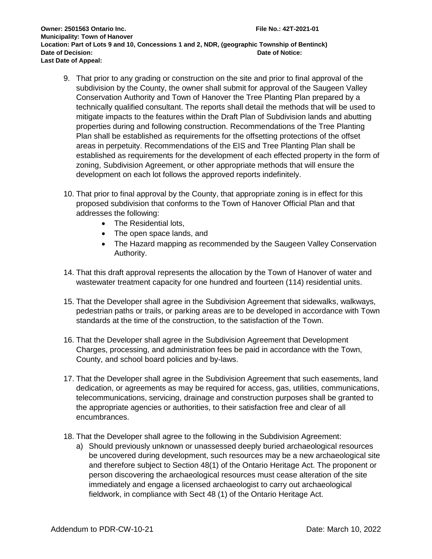- 9. That prior to any grading or construction on the site and prior to final approval of the subdivision by the County, the owner shall submit for approval of the Saugeen Valley Conservation Authority and Town of Hanover the Tree Planting Plan prepared by a technically qualified consultant. The reports shall detail the methods that will be used to mitigate impacts to the features within the Draft Plan of Subdivision lands and abutting properties during and following construction. Recommendations of the Tree Planting Plan shall be established as requirements for the offsetting protections of the offset areas in perpetuity. Recommendations of the EIS and Tree Planting Plan shall be established as requirements for the development of each effected property in the form of zoning, Subdivision Agreement, or other appropriate methods that will ensure the development on each lot follows the approved reports indefinitely.
- 10. That prior to final approval by the County, that appropriate zoning is in effect for this proposed subdivision that conforms to the Town of Hanover Official Plan and that addresses the following:
	- The Residential lots,
	- The open space lands, and
	- The Hazard mapping as recommended by the Saugeen Valley Conservation Authority.
- 14. That this draft approval represents the allocation by the Town of Hanover of water and wastewater treatment capacity for one hundred and fourteen (114) residential units.
- 15. That the Developer shall agree in the Subdivision Agreement that sidewalks, walkways, pedestrian paths or trails, or parking areas are to be developed in accordance with Town standards at the time of the construction, to the satisfaction of the Town.
- 16. That the Developer shall agree in the Subdivision Agreement that Development Charges, processing, and administration fees be paid in accordance with the Town, County, and school board policies and by-laws.
- 17. That the Developer shall agree in the Subdivision Agreement that such easements, land dedication, or agreements as may be required for access, gas, utilities, communications, telecommunications, servicing, drainage and construction purposes shall be granted to the appropriate agencies or authorities, to their satisfaction free and clear of all encumbrances.
- 18. That the Developer shall agree to the following in the Subdivision Agreement:
	- a) Should previously unknown or unassessed deeply buried archaeological resources be uncovered during development, such resources may be a new archaeological site and therefore subject to Section 48(1) of the Ontario Heritage Act. The proponent or person discovering the archaeological resources must cease alteration of the site immediately and engage a licensed archaeologist to carry out archaeological fieldwork, in compliance with Sect 48 (1) of the Ontario Heritage Act.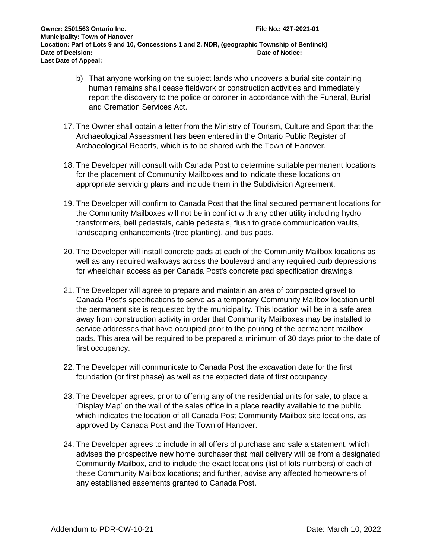- b) That anyone working on the subject lands who uncovers a burial site containing human remains shall cease fieldwork or construction activities and immediately report the discovery to the police or coroner in accordance with the Funeral, Burial and Cremation Services Act.
- 17. The Owner shall obtain a letter from the Ministry of Tourism, Culture and Sport that the Archaeological Assessment has been entered in the Ontario Public Register of Archaeological Reports, which is to be shared with the Town of Hanover.
- 18. The Developer will consult with Canada Post to determine suitable permanent locations for the placement of Community Mailboxes and to indicate these locations on appropriate servicing plans and include them in the Subdivision Agreement.
- 19. The Developer will confirm to Canada Post that the final secured permanent locations for the Community Mailboxes will not be in conflict with any other utility including hydro transformers, bell pedestals, cable pedestals, flush to grade communication vaults, landscaping enhancements (tree planting), and bus pads.
- 20. The Developer will install concrete pads at each of the Community Mailbox locations as well as any required walkways across the boulevard and any required curb depressions for wheelchair access as per Canada Post's concrete pad specification drawings.
- 21. The Developer will agree to prepare and maintain an area of compacted gravel to Canada Post's specifications to serve as a temporary Community Mailbox location until the permanent site is requested by the municipality. This location will be in a safe area away from construction activity in order that Community Mailboxes may be installed to service addresses that have occupied prior to the pouring of the permanent mailbox pads. This area will be required to be prepared a minimum of 30 days prior to the date of first occupancy.
- 22. The Developer will communicate to Canada Post the excavation date for the first foundation (or first phase) as well as the expected date of first occupancy.
- 23. The Developer agrees, prior to offering any of the residential units for sale, to place a 'Display Map' on the wall of the sales office in a place readily available to the public which indicates the location of all Canada Post Community Mailbox site locations, as approved by Canada Post and the Town of Hanover.
- 24. The Developer agrees to include in all offers of purchase and sale a statement, which advises the prospective new home purchaser that mail delivery will be from a designated Community Mailbox, and to include the exact locations (list of lots numbers) of each of these Community Mailbox locations; and further, advise any affected homeowners of any established easements granted to Canada Post.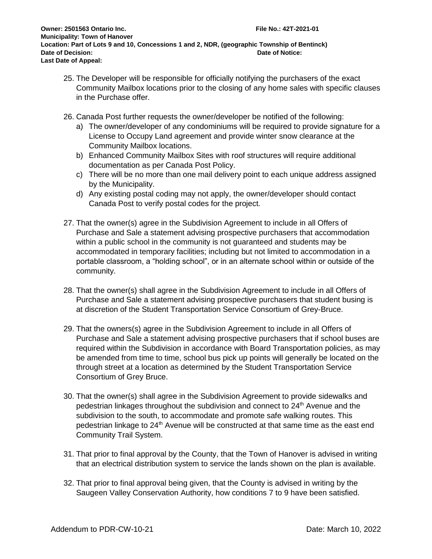- 25. The Developer will be responsible for officially notifying the purchasers of the exact Community Mailbox locations prior to the closing of any home sales with specific clauses in the Purchase offer.
- 26. Canada Post further requests the owner/developer be notified of the following:
	- a) The owner/developer of any condominiums will be required to provide signature for a License to Occupy Land agreement and provide winter snow clearance at the Community Mailbox locations.
	- b) Enhanced Community Mailbox Sites with roof structures will require additional documentation as per Canada Post Policy.
	- c) There will be no more than one mail delivery point to each unique address assigned by the Municipality.
	- d) Any existing postal coding may not apply, the owner/developer should contact Canada Post to verify postal codes for the project.
- 27. That the owner(s) agree in the Subdivision Agreement to include in all Offers of Purchase and Sale a statement advising prospective purchasers that accommodation within a public school in the community is not guaranteed and students may be accommodated in temporary facilities; including but not limited to accommodation in a portable classroom, a "holding school", or in an alternate school within or outside of the community.
- 28. That the owner(s) shall agree in the Subdivision Agreement to include in all Offers of Purchase and Sale a statement advising prospective purchasers that student busing is at discretion of the Student Transportation Service Consortium of Grey-Bruce.
- 29. That the owners(s) agree in the Subdivision Agreement to include in all Offers of Purchase and Sale a statement advising prospective purchasers that if school buses are required within the Subdivision in accordance with Board Transportation policies, as may be amended from time to time, school bus pick up points will generally be located on the through street at a location as determined by the Student Transportation Service Consortium of Grey Bruce.
- 30. That the owner(s) shall agree in the Subdivision Agreement to provide sidewalks and pedestrian linkages throughout the subdivision and connect to 24<sup>th</sup> Avenue and the subdivision to the south, to accommodate and promote safe walking routes. This pedestrian linkage to 24<sup>th</sup> Avenue will be constructed at that same time as the east end Community Trail System.
- 31. That prior to final approval by the County, that the Town of Hanover is advised in writing that an electrical distribution system to service the lands shown on the plan is available.
- 32. That prior to final approval being given, that the County is advised in writing by the Saugeen Valley Conservation Authority, how conditions 7 to 9 have been satisfied.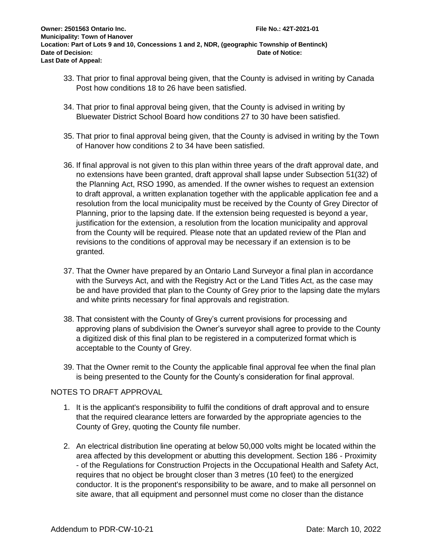- 33. That prior to final approval being given, that the County is advised in writing by Canada Post how conditions 18 to 26 have been satisfied.
- 34. That prior to final approval being given, that the County is advised in writing by Bluewater District School Board how conditions 27 to 30 have been satisfied.
- 35. That prior to final approval being given, that the County is advised in writing by the Town of Hanover how conditions 2 to 34 have been satisfied.
- 36. If final approval is not given to this plan within three years of the draft approval date, and no extensions have been granted, draft approval shall lapse under Subsection 51(32) of the Planning Act, RSO 1990, as amended. If the owner wishes to request an extension to draft approval, a written explanation together with the applicable application fee and a resolution from the local municipality must be received by the County of Grey Director of Planning, prior to the lapsing date. If the extension being requested is beyond a year, justification for the extension, a resolution from the location municipality and approval from the County will be required. Please note that an updated review of the Plan and revisions to the conditions of approval may be necessary if an extension is to be granted.
- 37. That the Owner have prepared by an Ontario Land Surveyor a final plan in accordance with the Surveys Act, and with the Registry Act or the Land Titles Act, as the case may be and have provided that plan to the County of Grey prior to the lapsing date the mylars and white prints necessary for final approvals and registration.
- 38. That consistent with the County of Grey's current provisions for processing and approving plans of subdivision the Owner's surveyor shall agree to provide to the County a digitized disk of this final plan to be registered in a computerized format which is acceptable to the County of Grey.
- 39. That the Owner remit to the County the applicable final approval fee when the final plan is being presented to the County for the County's consideration for final approval.

#### NOTES TO DRAFT APPROVAL

- 1. It is the applicant's responsibility to fulfil the conditions of draft approval and to ensure that the required clearance letters are forwarded by the appropriate agencies to the County of Grey, quoting the County file number.
- 2. An electrical distribution line operating at below 50,000 volts might be located within the area affected by this development or abutting this development. Section 186 - Proximity - of the Regulations for Construction Projects in the Occupational Health and Safety Act, requires that no object be brought closer than 3 metres (10 feet) to the energized conductor. It is the proponent's responsibility to be aware, and to make all personnel on site aware, that all equipment and personnel must come no closer than the distance